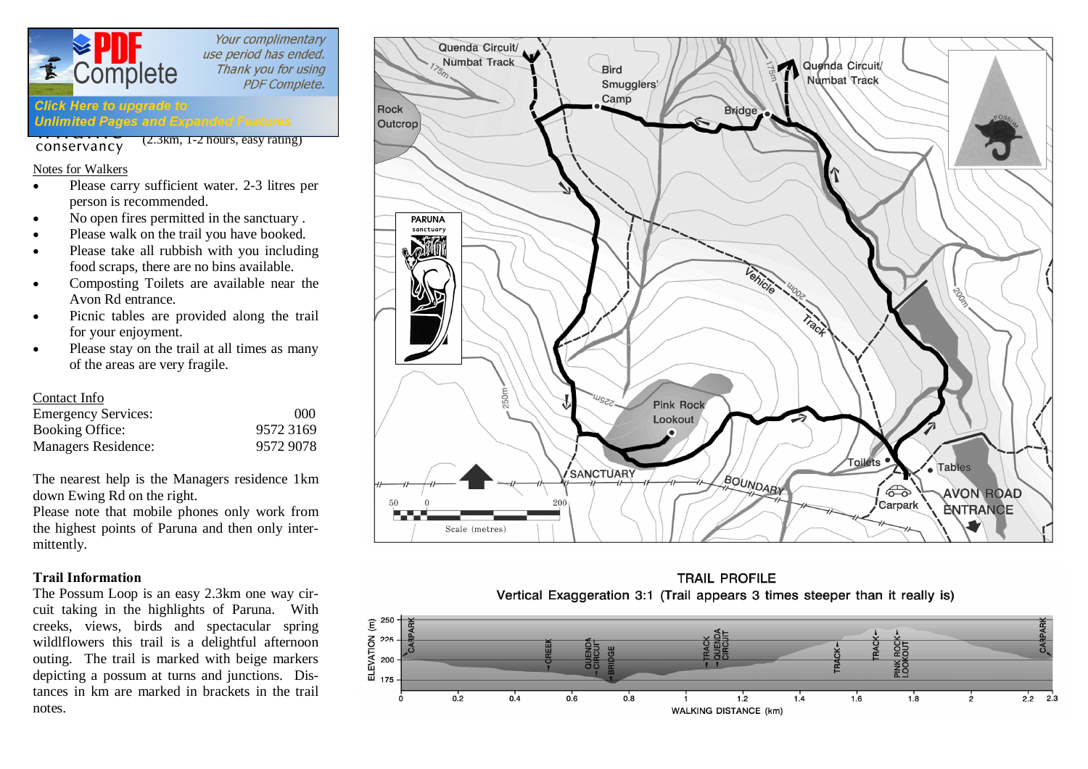

Your complimentary **Postal Secure Land Complete**<br>Complete Thank you for using **PDF** Complete.

Click Here to upgrade to<br>Unlimited Pages and Expanded Features

(2.3km, 1-2 hours, easy rating) conservancy

Notes for Walkers

- Please carry sufficient water. 2-3 litres per person is recommended.
- · No open fires permitted in the sanctuary .
- Please walk on the trail you have booked.
- Please take all rubbish with you including food scraps, there are no bins available.
- · Composting Toilets are available near the Avon Rd entrance.
- · Picnic tables are provided along the trail for your enjoyment.
- · Please stay on the trail at all times as many of the areas are very fragile.

## Contact Info

| <b>Emergency Services:</b> | (000)     |
|----------------------------|-----------|
| <b>Booking Office:</b>     | 95723169  |
| Managers Residence:        | 9572 9078 |

The nearest help is the Managers residence 1km down Ewing Rd on the right.

Please note that mobile phones only work from the highest points of Paruna and then only intermittently.

## **Trail Information**

The Possum Loop is an easy 2.3km one way circuit taking in the highlights of Paruna. With creeks, views, birds and spectacular spring wildlflowers this trail is a delightful afternoon outing. The trail is marked with beige markers depicting a possum at turns and junctions. Distances in km are marked in brackets in the trail notes.



## **TRAIL PROFILE** Vertical Exaggeration 3:1 (Trail appears 3 times steeper than it really is)